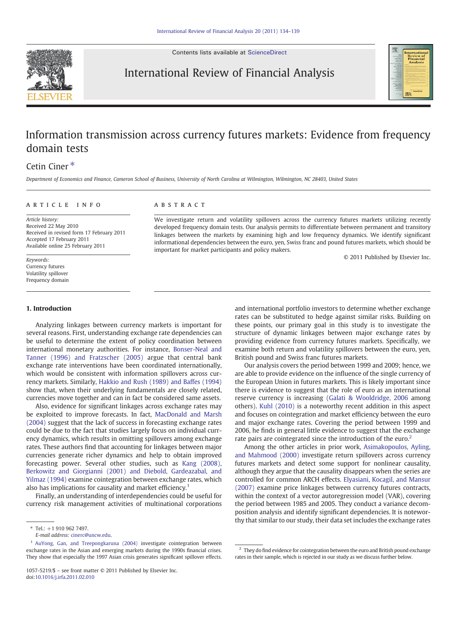Contents lists available at [ScienceDirect](http://www.sciencedirect.com/science/journal/10575219)



International Review of Financial Analysis



## Information transmission across currency futures markets: Evidence from frequency domain tests

## Cetin Ciner<sup>\*</sup>

Department of Economics and Finance, Cameron School of Business, University of North Carolina at Wilmington, Wilmington, NC 28403, United States

### ARTICLE INFO ABSTRACT

Article history: Received 22 May 2010 Received in revised form 17 February 2011 Accepted 17 February 2011 Available online 25 February 2011

Keywords: Currency futures Volatility spillover Frequency domain

### 1. Introduction

Analyzing linkages between currency markets is important for several reasons. First, understanding exchange rate dependencies can be useful to determine the extent of policy coordination between international monetary authorities. For instance, [Bonser-Neal and](#page--1-0) [Tanner \(1996\) and Fratzscher \(2005\)](#page--1-0) argue that central bank exchange rate interventions have been coordinated internationally, which would be consistent with information spillovers across currency markets. Similarly, [Hakkio and Rush \(1989\) and Baffes \(1994\)](#page--1-0) show that, when their underlying fundamentals are closely related, currencies move together and can in fact be considered same assets.

Also, evidence for significant linkages across exchange rates may be exploited to improve forecasts. In fact, [MacDonald and Marsh](#page--1-0) [\(2004\)](#page--1-0) suggest that the lack of success in forecasting exchange rates could be due to the fact that studies largely focus on individual currency dynamics, which results in omitting spillovers among exchange rates. These authors find that accounting for linkages between major currencies generate richer dynamics and help to obtain improved forecasting power. Several other studies, such as [Kang \(2008\),](#page--1-0) [Berkowitz and Giorgianni \(2001\) and Diebold, Gardeazabal, and](#page--1-0) [Yilmaz \(1994\)](#page--1-0) examine cointegration between exchange rates, which also has implications for causality and market efficiency.<sup>1</sup>

Finally, an understanding of interdependencies could be useful for currency risk management activities of multinational corporations

developed frequency domain tests. Our analysis permits to differentiate between permanent and transitory linkages between the markets by examining high and low frequency dynamics. We identify significant informational dependencies between the euro, yen, Swiss franc and pound futures markets, which should be important for market participants and policy makers. © 2011 Published by Elsevier Inc.

We investigate return and volatility spillovers across the currency futures markets utilizing recently

and international portfolio investors to determine whether exchange rates can be substituted to hedge against similar risks. Building on these points, our primary goal in this study is to investigate the structure of dynamic linkages between major exchange rates by providing evidence from currency futures markets. Specifically, we examine both return and volatility spillovers between the euro, yen, British pound and Swiss franc futures markets.

Our analysis covers the period between 1999 and 2009; hence, we are able to provide evidence on the influence of the single currency of the European Union in futures markets. This is likely important since there is evidence to suggest that the role of euro as an international reserve currency is increasing [\(Galati & Wooldridge, 2006](#page--1-0) among others). [Kuhl \(2010\)](#page--1-0) is a noteworthy recent addition in this aspect and focuses on cointegration and market efficiency between the euro and major exchange rates. Covering the period between 1999 and 2006, he finds in general little evidence to suggest that the exchange rate pairs are cointegrated since the introduction of the euro.<sup>2</sup>

Among the other articles in prior work, [Asimakopoulos, Ayling,](#page--1-0) [and Mahmood \(2000\)](#page--1-0) investigate return spillovers across currency futures markets and detect some support for nonlinear causality, although they argue that the causality disappears when the series are controlled for common ARCH effects. [Elyasiani, Kocagil, and Mansur](#page--1-0) [\(2007\)](#page--1-0) examine price linkages between currency futures contracts, within the context of a vector autoregression model (VAR), covering the period between 1985 and 2005. They conduct a variance decomposition analysis and identify significant dependencies. It is noteworthy that similar to our study, their data set includes the exchange rates

 $*$  Tel.:  $+1$  910 962 7497.

E-mail address: [cinerc@uncw.edu](mailto:cinerc@uncw.edu).

<sup>1</sup> [AuYong, Gan, and Treepongkaruna \(2004\)](#page--1-0) investigate cointegration between exchange rates in the Asian and emerging markets during the 1990s financial crises. They show that especially the 1997 Asian crisis generates significant spillover effects.

 $2$  They do find evidence for cointegration between the euro and British pound exchange rates in their sample, which is rejected in our study as we discuss further below.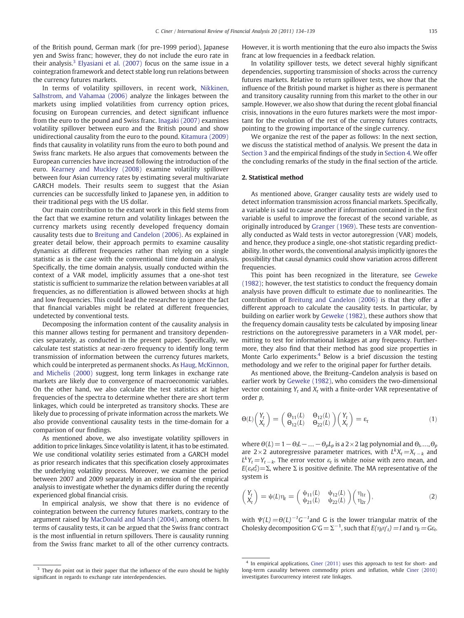of the British pound, German mark (for pre-1999 period), Japanese yen and Swiss franc; however, they do not include the euro rate in their analysis.<sup>3</sup> [Elyasiani et al. \(2007\)](#page--1-0) focus on the same issue in a cointegration framework and detect stable long run relations between the currency futures markets.

In terms of volatility spillovers, in recent work, [Nikkinen,](#page--1-0) [Salhstrom, and Vahamaa \(2006\)](#page--1-0) analyze the linkages between the markets using implied volatilities from currency option prices, focusing on European currencies, and detect significant influence from the euro to the pound and Swiss franc. [Inagaki \(2007\)](#page--1-0) examines volatility spillover between euro and the British pound and show unidirectional causality from the euro to the pound. [Kitamura \(2009\)](#page--1-0) finds that causality in volatility runs from the euro to both pound and Swiss franc markets. He also argues that comovements between the European currencies have increased following the introduction of the euro. [Kearney and Muckley \(2008\)](#page--1-0) examine volatility spillover between four Asian currency rates by estimating several multivariate GARCH models. Their results seem to suggest that the Asian currencies can be successfully linked to Japanese yen, in addition to their traditional pegs with the US dollar.

Our main contribution to the extant work in this field stems from the fact that we examine return and volatility linkages between the currency markets using recently developed frequency domain causality tests due to [Breitung and Candelon \(2006\)](#page--1-0). As explained in greater detail below, their approach permits to examine causality dynamics at different frequencies rather than relying on a single statistic as is the case with the conventional time domain analysis. Specifically, the time domain analysis, usually conducted within the context of a VAR model, implicitly assumes that a one-shot test statistic is sufficient to summarize the relation between variables at all frequencies, as no differentiation is allowed between shocks at high and low frequencies. This could lead the researcher to ignore the fact that financial variables might be related at different frequencies, undetected by conventional tests.

Decomposing the information content of the causality analysis in this manner allows testing for permanent and transitory dependencies separately, as conducted in the present paper. Specifically, we calculate test statistics at near-zero frequency to identify long term transmission of information between the currency futures markets, which could be interpreted as permanent shocks. As [Haug, McKinnon,](#page--1-0) [and Michelis \(2000\)](#page--1-0) suggest, long term linkages in exchange rate markets are likely due to convergence of macroeconomic variables. On the other hand, we also calculate the test statistics at higher frequencies of the spectra to determine whether there are short term linkages, which could be interpreted as transitory shocks. These are likely due to processing of private information across the markets. We also provide conventional causality tests in the time-domain for a comparison of our findings.

As mentioned above, we also investigate volatility spillovers in addition to price linkages. Since volatility is latent, it has to be estimated. We use conditional volatility series estimated from a GARCH model as prior research indicates that this specification closely approximates the underlying volatility process. Moreover, we examine the period between 2007 and 2009 separately in an extension of the empirical analysis to investigate whether the dynamics differ during the recently experienced global financial crisis.

In empirical analysis, we show that there is no evidence of cointegration between the currency futures markets, contrary to the argument raised by [MacDonald and Marsh \(2004\)](#page--1-0), among others. In terms of causality tests, it can be argued that the Swiss franc contract is the most influential in return spillovers. There is causality running from the Swiss franc market to all of the other currency contracts.

However, it is worth mentioning that the euro also impacts the Swiss franc at low frequencies in a feedback relation.

In volatility spillover tests, we detect several highly significant dependencies, supporting transmission of shocks across the currency futures markets. Relative to return spillover tests, we show that the influence of the British pound market is higher as there is permanent and transitory causality running from this market to the other in our sample. However, we also show that during the recent global financial crisis, innovations in the euro futures markets were the most important for the evolution of the rest of the currency futures contracts, pointing to the growing importance of the single currency.

We organize the rest of the paper as follows: In the next section, we discuss the statistical method of analysis. We present the data in [Section 3](#page--1-0) and the empirical findings of the study in [Section 4.](#page--1-0) We offer the concluding remarks of the study in the final section of the article.

### 2. Statistical method

As mentioned above, Granger causality tests are widely used to detect information transmission across financial markets. Specifically, a variable is said to cause another if information contained in the first variable is useful to improve the forecast of the second variable, as originally introduced by [Granger \(1969\)](#page--1-0). These tests are conventionally conducted as Wald tests in vector autoregression (VAR) models, and hence, they produce a single, one-shot statistic regarding predictability. In other words, the conventional analysis implicitly ignores the possibility that causal dynamics could show variation across different frequencies.

This point has been recognized in the literature, see [Geweke](#page--1-0) [\(1982\);](#page--1-0) however, the test statistics to conduct the frequency domain analysis have proven difficult to estimate due to nonlinearities. The contribution of [Breitung and Candelon \(2006\)](#page--1-0) is that they offer a different approach to calculate the causality tests. In particular, by building on earlier work by [Geweke \(1982\)](#page--1-0), these authors show that the frequency domain causality tests be calculated by imposing linear restrictions on the autoregressive parameters in a VAR model, permitting to test for informational linkages at any frequency. Furthermore, they also find that their method has good size properties in Monte Carlo experiments.<sup>4</sup> Below is a brief discussion the testing methodology and we refer to the original paper for further details.

As mentioned above, the Breitung–Candelon analysis is based on earlier work by [Geweke \(1982\),](#page--1-0) who considers the two-dimensional vector containing  $Y_t$  and  $X_t$  with a finite-order VAR representative of order p,

$$
\Theta(L)\begin{pmatrix} Y_t \\ X_t \end{pmatrix} = \begin{pmatrix} \Theta_{11}(L) & \Theta_{12}(L) \\ \Theta_{12}(L) & \Theta_{22}(L) \end{pmatrix} \begin{pmatrix} Y_t \\ X_t \end{pmatrix} = \varepsilon_t \tag{1}
$$

where  $\Theta(L)=1-\Theta_{l}L-\ldots-\Theta_{p}L_{p}$  is a 2 × 2 lag polynomial and  $\Theta_{l},...,\Theta_{p}$ are 2×2 autoregressive parameter matrices, with  $L^{k}X_{t}=X_{t-k}$  and  $L^{k}Y_{t}=Y_{t-k}$ . The error vector  $\varepsilon_{t}$  is white noise with zero mean, and  $E(\varepsilon_t \varepsilon_t^t) = \Sigma$ , where  $\Sigma$  is positive definite. The MA representative of the system is

$$
\begin{pmatrix} Y_t \\ X_t \end{pmatrix} = \psi(L)\eta_t = \begin{pmatrix} \psi_{11}(L) & \psi_{12}(L) \\ \psi_{21}(L) & \psi_{22}(L) \end{pmatrix} \begin{pmatrix} \eta_{1t} \\ \eta_{2t} \end{pmatrix},\tag{2}
$$

with  $\Psi(L) = \Theta(L)^{-1} G^{-1}$  and G is the lower triangular matrix of the Cholesky decomposition G′G =  $\Sigma^{-1}$ , such that  $E(\eta_t\eta_t')=I$  and  $\eta_t$  = G $\varepsilon_t$ .

<sup>&</sup>lt;sup>3</sup> They do point out in their paper that the influence of the euro should be highly significant in regards to exchange rate interdependencies.

<sup>&</sup>lt;sup>4</sup> In empirical applications, [Ciner \(2011\)](#page--1-0) uses this approach to test for short- and long-term causality between commodity prices and inflation, while [Ciner \(2010\)](#page--1-0) investigates Eurocurrency interest rate linkages.